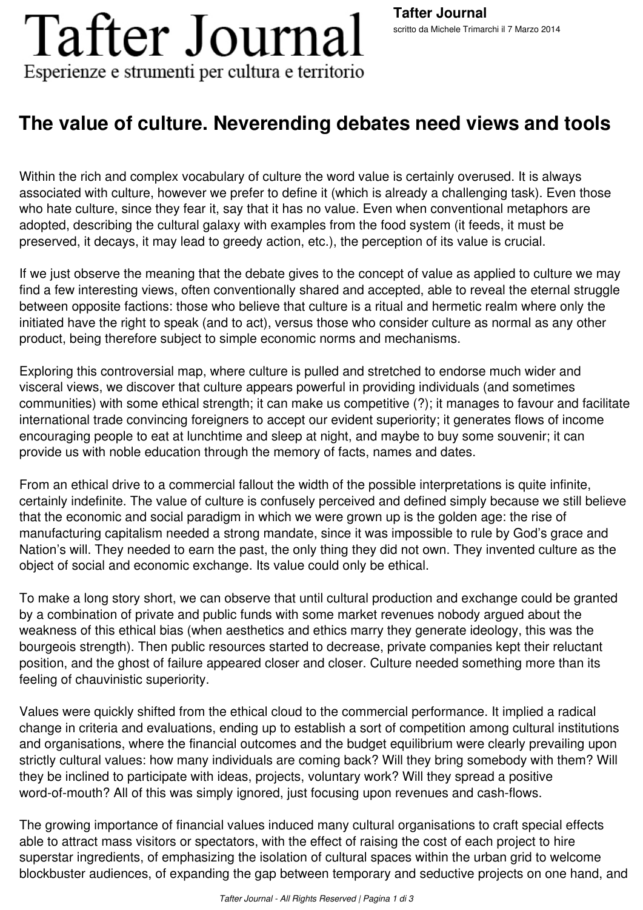# **Tafter Journal** Esperienze e strumenti per cultura e territorio

## **The value of culture. Neverending debates need views and tools**

Within the rich and complex vocabulary of culture the word value is certainly overused. It is always associated with culture, however we prefer to define it (which is already a challenging task). Even those who hate culture, since they fear it, say that it has no value. Even when conventional metaphors are adopted, describing the cultural galaxy with examples from the food system (it feeds, it must be preserved, it decays, it may lead to greedy action, etc.), the perception of its value is crucial.

If we just observe the meaning that the debate gives to the concept of value as applied to culture we may find a few interesting views, often conventionally shared and accepted, able to reveal the eternal struggle between opposite factions: those who believe that culture is a ritual and hermetic realm where only the initiated have the right to speak (and to act), versus those who consider culture as normal as any other product, being therefore subject to simple economic norms and mechanisms.

Exploring this controversial map, where culture is pulled and stretched to endorse much wider and visceral views, we discover that culture appears powerful in providing individuals (and sometimes communities) with some ethical strength; it can make us competitive (?); it manages to favour and facilitate international trade convincing foreigners to accept our evident superiority; it generates flows of income encouraging people to eat at lunchtime and sleep at night, and maybe to buy some souvenir; it can provide us with noble education through the memory of facts, names and dates.

From an ethical drive to a commercial fallout the width of the possible interpretations is quite infinite, certainly indefinite. The value of culture is confusely perceived and defined simply because we still believe that the economic and social paradigm in which we were grown up is the golden age: the rise of manufacturing capitalism needed a strong mandate, since it was impossible to rule by God's grace and Nation's will. They needed to earn the past, the only thing they did not own. They invented culture as the object of social and economic exchange. Its value could only be ethical.

To make a long story short, we can observe that until cultural production and exchange could be granted by a combination of private and public funds with some market revenues nobody argued about the weakness of this ethical bias (when aesthetics and ethics marry they generate ideology, this was the bourgeois strength). Then public resources started to decrease, private companies kept their reluctant position, and the ghost of failure appeared closer and closer. Culture needed something more than its feeling of chauvinistic superiority.

Values were quickly shifted from the ethical cloud to the commercial performance. It implied a radical change in criteria and evaluations, ending up to establish a sort of competition among cultural institutions and organisations, where the financial outcomes and the budget equilibrium were clearly prevailing upon strictly cultural values: how many individuals are coming back? Will they bring somebody with them? Will they be inclined to participate with ideas, projects, voluntary work? Will they spread a positive word-of-mouth? All of this was simply ignored, just focusing upon revenues and cash-flows.

The growing importance of financial values induced many cultural organisations to craft special effects able to attract mass visitors or spectators, with the effect of raising the cost of each project to hire superstar ingredients, of emphasizing the isolation of cultural spaces within the urban grid to welcome blockbuster audiences, of expanding the gap between temporary and seductive projects on one hand, and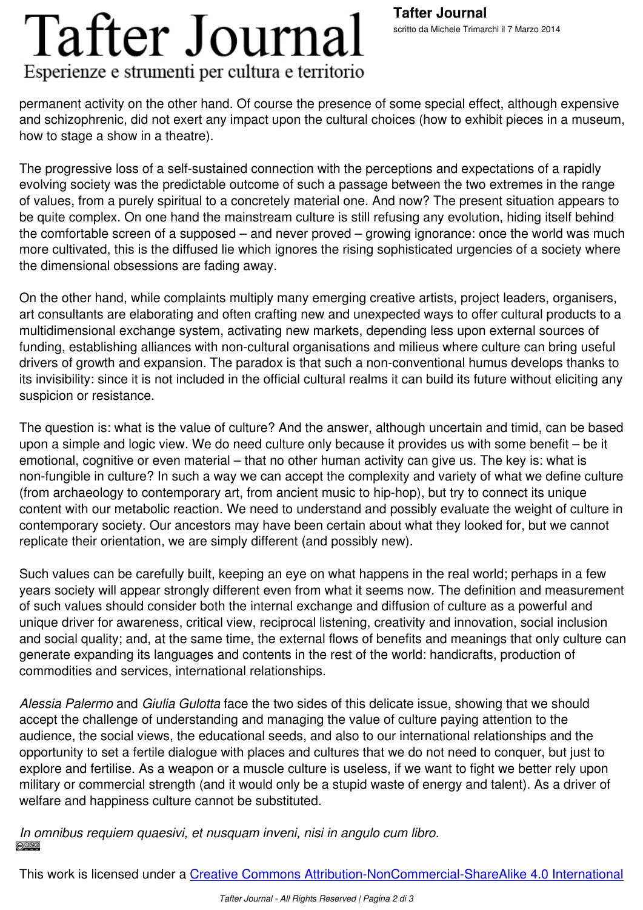### Esperienze e strumenti per cultura e territorio

permanent activity on the other hand. Of course the presence of some special effect, although expensive and schizophrenic, did not exert any impact upon the cultural choices (how to exhibit pieces in a museum, how to stage a show in a theatre).

The progressive loss of a self-sustained connection with the perceptions and expectations of a rapidly evolving society was the predictable outcome of such a passage between the two extremes in the range of values, from a purely spiritual to a concretely material one. And now? The present situation appears to be quite complex. On one hand the mainstream culture is still refusing any evolution, hiding itself behind the comfortable screen of a supposed – and never proved – growing ignorance: once the world was much more cultivated, this is the diffused lie which ignores the rising sophisticated urgencies of a society where the dimensional obsessions are fading away.

On the other hand, while complaints multiply many emerging creative artists, project leaders, organisers, art consultants are elaborating and often crafting new and unexpected ways to offer cultural products to a multidimensional exchange system, activating new markets, depending less upon external sources of funding, establishing alliances with non-cultural organisations and milieus where culture can bring useful drivers of growth and expansion. The paradox is that such a non-conventional humus develops thanks to its invisibility: since it is not included in the official cultural realms it can build its future without eliciting any suspicion or resistance.

The question is: what is the value of culture? And the answer, although uncertain and timid, can be based upon a simple and logic view. We do need culture only because it provides us with some benefit – be it emotional, cognitive or even material – that no other human activity can give us. The key is: what is non-fungible in culture? In such a way we can accept the complexity and variety of what we define culture (from archaeology to contemporary art, from ancient music to hip-hop), but try to connect its unique content with our metabolic reaction. We need to understand and possibly evaluate the weight of culture in contemporary society. Our ancestors may have been certain about what they looked for, but we cannot replicate their orientation, we are simply different (and possibly new).

Such values can be carefully built, keeping an eye on what happens in the real world; perhaps in a few years society will appear strongly different even from what it seems now. The definition and measurement of such values should consider both the internal exchange and diffusion of culture as a powerful and unique driver for awareness, critical view, reciprocal listening, creativity and innovation, social inclusion and social quality; and, at the same time, the external flows of benefits and meanings that only culture can generate expanding its languages and contents in the rest of the world: handicrafts, production of commodities and services, international relationships.

*Alessia Palermo* and *Giulia Gulotta* face the two sides of this delicate issue, showing that we should accept the challenge of understanding and managing the value of culture paying attention to the audience, the social views, the educational seeds, and also to our international relationships and the opportunity to set a fertile dialogue with places and cultures that we do not need to conquer, but just to explore and fertilise. As a weapon or a muscle culture is useless, if we want to fight we better rely upon military or commercial strength (and it would only be a stupid waste of energy and talent). As a driver of welfare and happiness culture cannot be substituted.

*In omnibus requiem quaesivi, et nusquam inveni, nisi in angulo cum libro.*

This work is licensed under a Creative Commons Attribution-NonCommercial-ShareAlike 4.0 International